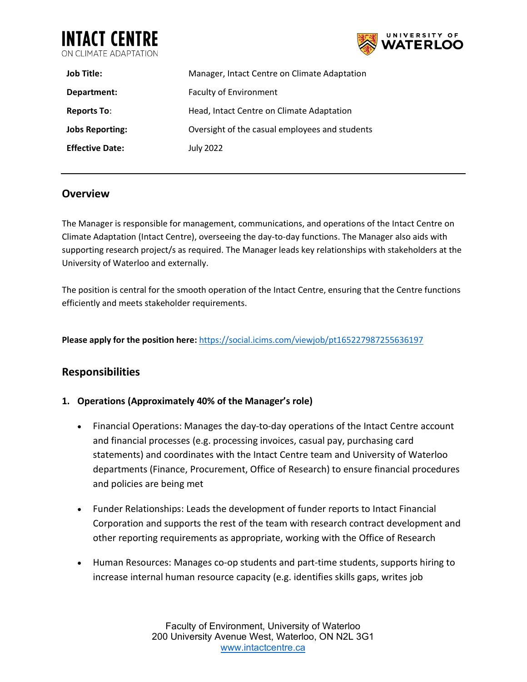



| <b>Job Title:</b>      | Manager, Intact Centre on Climate Adaptation   |
|------------------------|------------------------------------------------|
| Department:            | <b>Faculty of Environment</b>                  |
| <b>Reports To:</b>     | Head, Intact Centre on Climate Adaptation      |
| <b>Jobs Reporting:</b> | Oversight of the casual employees and students |
| <b>Effective Date:</b> | July 2022                                      |

## **Overview**

The Manager is responsible for management, communications, and operations of the Intact Centre on Climate Adaptation (Intact Centre), overseeing the day-to-day functions. The Manager also aids with supporting research project/s as required. The Manager leads key relationships with stakeholders at the University of Waterloo and externally.

The position is central for the smooth operation of the Intact Centre, ensuring that the Centre functions efficiently and meets stakeholder requirements.

**Please apply for the position here:** <https://social.icims.com/viewjob/pt165227987255636197>

## **Responsibilities**

#### **1. Operations (Approximately 40% of the Manager's role)**

- Financial Operations: Manages the day-to-day operations of the Intact Centre account and financial processes (e.g. processing invoices, casual pay, purchasing card statements) and coordinates with the Intact Centre team and University of Waterloo departments (Finance, Procurement, Office of Research) to ensure financial procedures and policies are being met
- Funder Relationships: Leads the development of funder reports to Intact Financial Corporation and supports the rest of the team with research contract development and other reporting requirements as appropriate, working with the Office of Research
- Human Resources: Manages co-op students and part-time students, supports hiring to increase internal human resource capacity (e.g. identifies skills gaps, writes job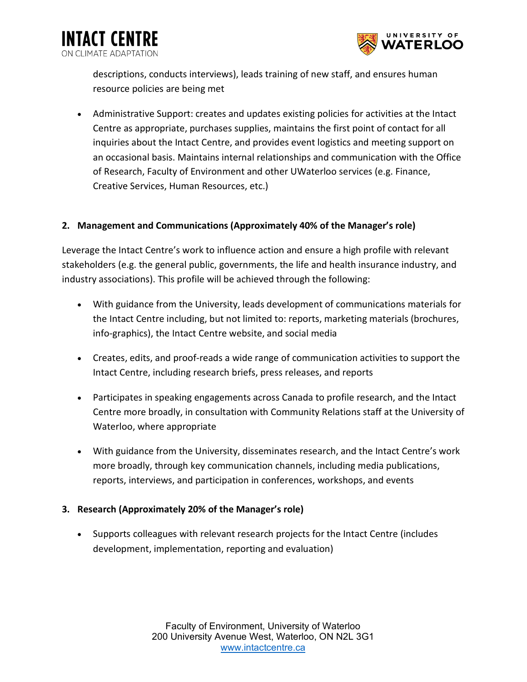

descriptions, conducts interviews), leads training of new staff, and ensures human resource policies are being met

**INTACT CENTRE** 

CLIMATE ADAPTATION

• Administrative Support: creates and updates existing policies for activities at the Intact Centre as appropriate, purchases supplies, maintains the first point of contact for all inquiries about the Intact Centre, and provides event logistics and meeting support on an occasional basis. Maintains internal relationships and communication with the Office of Research, Faculty of Environment and other UWaterloo services (e.g. Finance, Creative Services, Human Resources, etc.)

### **2. Management and Communications (Approximately 40% of the Manager's role)**

Leverage the Intact Centre's work to influence action and ensure a high profile with relevant stakeholders (e.g. the general public, governments, the life and health insurance industry, and industry associations). This profile will be achieved through the following:

- With guidance from the University, leads development of communications materials for the Intact Centre including, but not limited to: reports, marketing materials (brochures, info-graphics), the Intact Centre website, and social media
- Creates, edits, and proof-reads a wide range of communication activities to support the Intact Centre, including research briefs, press releases, and reports
- Participates in speaking engagements across Canada to profile research, and the Intact Centre more broadly, in consultation with Community Relations staff at the University of Waterloo, where appropriate
- With guidance from the University, disseminates research, and the Intact Centre's work more broadly, through key communication channels, including media publications, reports, interviews, and participation in conferences, workshops, and events

### **3. Research (Approximately 20% of the Manager's role)**

• Supports colleagues with relevant research projects for the Intact Centre (includes development, implementation, reporting and evaluation)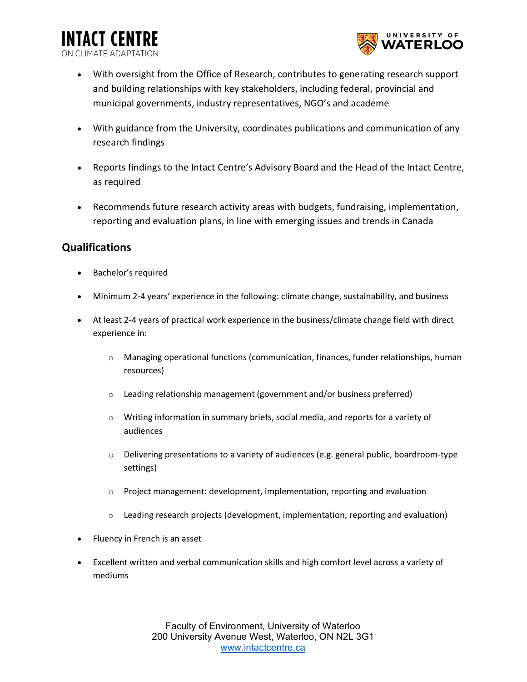**INTACT CENTRE** ON CLIMATE ADAPTATI



- With oversight from the Office of Research, contributes to generating research support and building relationships with key stakeholders, including federal, provincial and municipal governments, industry representatives, NGO's and academe
- With guidance from the University, coordinates publications and communication of any research findings
- Reports findings to the Intact Centre's Advisory Board and the Head of the Intact Centre, as required
- Recommends future research activity areas with budgets, fundraising, implementation, reporting and evaluation plans, in line with emerging issues and trends in Canada

## **Qualifications**

- Bachelor's required
- Minimum 2-4 years' experience in the following: climate change, sustainability, and business
- At least 2-4 years of practical work experience in the business/climate change field with direct experience in:
	- o Managing operational functions (communication, finances, funder relationships, human resources)
	- o Leading relationship management (government and/or business preferred)
	- $\circ$  Writing information in summary briefs, social media, and reports for a variety of audiences
	- $\circ$  Delivering presentations to a variety of audiences (e.g. general public, boardroom-type settings)
	- o Project management: development, implementation, reporting and evaluation
	- $\circ$  Leading research projects (development, implementation, reporting and evaluation)
- Fluency in French is an asset
- Excellent written and verbal communication skills and high comfort level across a variety of mediums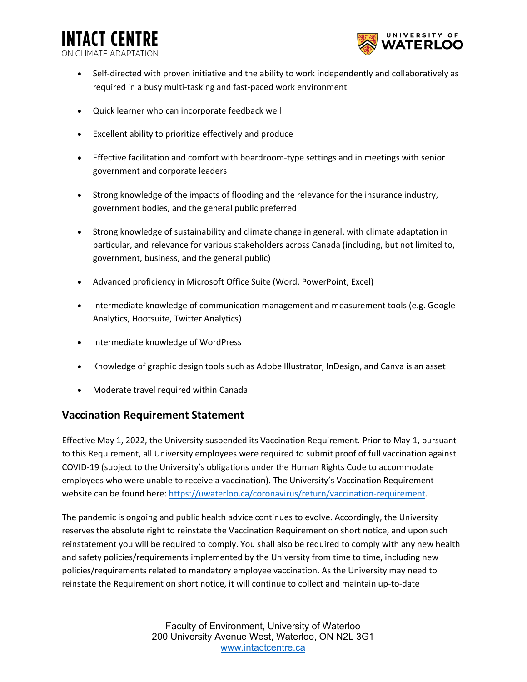**INTACT CENTRE** ON CLIMATE ADAPTATIO



- Self-directed with proven initiative and the ability to work independently and collaboratively as required in a busy multi-tasking and fast-paced work environment
- Quick learner who can incorporate feedback well
- Excellent ability to prioritize effectively and produce
- Effective facilitation and comfort with boardroom-type settings and in meetings with senior government and corporate leaders
- Strong knowledge of the impacts of flooding and the relevance for the insurance industry, government bodies, and the general public preferred
- Strong knowledge of sustainability and climate change in general, with climate adaptation in particular, and relevance for various stakeholders across Canada (including, but not limited to, government, business, and the general public)
- Advanced proficiency in Microsoft Office Suite (Word, PowerPoint, Excel)
- Intermediate knowledge of communication management and measurement tools (e.g. Google Analytics, Hootsuite, Twitter Analytics)
- Intermediate knowledge of WordPress
- Knowledge of graphic design tools such as Adobe Illustrator, InDesign, and Canva is an asset
- Moderate travel required within Canada

### **Vaccination Requirement Statement**

Effective May 1, 2022, the University suspended its Vaccination Requirement. Prior to May 1, pursuant to this Requirement, all University employees were required to submit proof of full vaccination against COVID-19 (subject to the University's obligations under the Human Rights Code to accommodate employees who were unable to receive a vaccination). The University's Vaccination Requirement website can be found here: [https://uwaterloo.ca/coronavirus/return/vaccination-requirement.](https://uwaterloo.ca/coronavirus/return/vaccination-requirement)

The pandemic is ongoing and public health advice continues to evolve. Accordingly, the University reserves the absolute right to reinstate the Vaccination Requirement on short notice, and upon such reinstatement you will be required to comply. You shall also be required to comply with any new health and safety policies/requirements implemented by the University from time to time, including new policies/requirements related to mandatory employee vaccination. As the University may need to reinstate the Requirement on short notice, it will continue to collect and maintain up-to-date